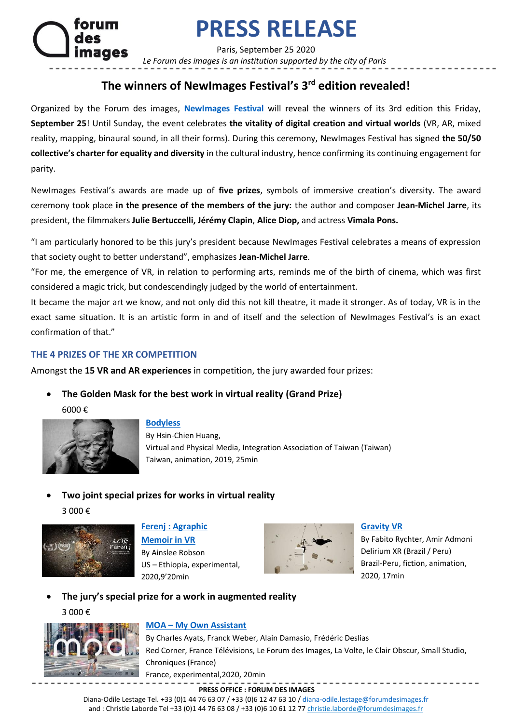# **PRESS RELEASE**

Paris, September 25 2020

 *Le Forum des images is an institution supported by the city of Paris*

# **The winners of NewImages Festival's 3rd edition revealed!**

Organized by the Forum des images, **[NewImages Festival](https://newimagesfestival.com/en/)** will reveal the winners of its 3rd edition this Friday, **September 25**! Until Sunday, the event celebrates **the vitality of digital creation and virtual worlds** (VR, AR, mixed reality, mapping, binaural sound, in all their forms). During this ceremony, NewImages Festival has signed **the 50/50 collective's charter for equality and diversity** in the cultural industry, hence confirming its continuing engagement for parity.

NewImages Festival's awards are made up of **five prizes**, symbols of immersive creation's diversity. The award ceremony took place **in the presence of the members of the jury:** the author and composer **Jean-Michel Jarre**, its president, the filmmakers **Julie Bertuccelli, Jérémy Clapin**, **Alice Diop,** and actress **Vimala Pons.** 

"I am particularly honored to be this jury's president because NewImages Festival celebrates a means of expression that society ought to better understand", emphasizes **Jean-Michel Jarre**.

"For me, the emergence of VR, in relation to performing arts, reminds me of the birth of cinema, which was first considered a magic trick, but condescendingly judged by the world of entertainment.

It became the major art we know, and not only did this not kill theatre, it made it stronger. As of today, VR is in the exact same situation. It is an artistic form in and of itself and the selection of NewImages Festival's is an exact confirmation of that."

# **THE 4 PRIZES OF THE XR COMPETITION**

Amongst the **15 VR and AR experiences** in competition, the jury awarded four prizes:

- **The Golden Mask for the best work in virtual reality (Grand Prize)**
	- 6000 €



## **[Bodyless](https://newimagesfestival.com/en/festival/line-up/immersive-experiences-2020/bodyless/)**

By Hsin-Chien Huang, Virtual and Physical Media, Integration Association of Taiwan (Taiwan) Taiwan, animation, 2019, 25min

• **Two joint special prizes for works in virtual reality**  3 000 €



# **Ferenj : [Agraphic](https://newimagesfestival.com/en/festival/line-up/immersive-experiences-2020/ferenj-a-graphic-memoir-in-vr/)**

**[Memoir in VR](https://newimagesfestival.com/en/festival/line-up/immersive-experiences-2020/ferenj-a-graphic-memoir-in-vr/)** By Ainslee Robson US – Ethiopia, experimental, 2020,9'20min



## **[Gravity VR](https://newimagesfestival.com/en/festival/line-up/immersive-experiences-2020/gravity-vr/)**

By Fabito Rychter, Amir Admoni Delirium XR (Brazil / Peru) Brazil-Peru, fiction, animation, 2020, 17min

• **The jury's special prize for a work in augmented reality**  3 000 €



# **MOA – [My Own Assistant](https://newimagesfestival.com/en/festival/line-up/immersive-experiences-2020/moa-my-own-assistant/)**

By Charles Ayats, Franck Weber, Alain Damasio, Frédéric Deslias Red Corner, France Télévisions, Le Forum des Images, La Volte, le Clair Obscur, Small Studio, Chroniques (France) France, experimental,2020, 20min

**PRESS OFFICE : FORUM DES IMAGES**